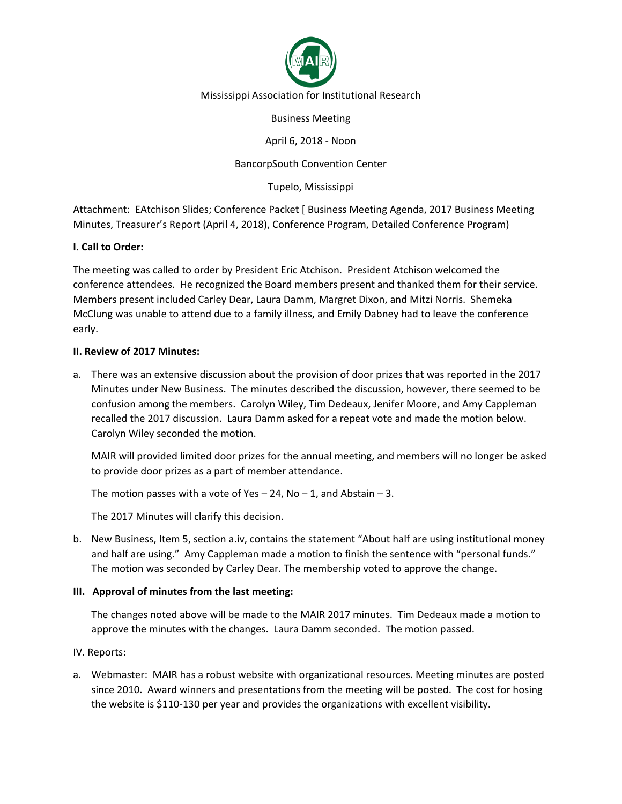

#### Mississippi Association for Institutional Research

Business Meeting

April 6, 2018 - Noon

# BancorpSouth Convention Center

Tupelo, Mississippi

Attachment: EAtchison Slides; Conference Packet [ Business Meeting Agenda, 2017 Business Meeting Minutes, Treasurer's Report (April 4, 2018), Conference Program, Detailed Conference Program)

## **I. Call to Order:**

The meeting was called to order by President Eric Atchison. President Atchison welcomed the conference attendees. He recognized the Board members present and thanked them for their service. Members present included Carley Dear, Laura Damm, Margret Dixon, and Mitzi Norris. Shemeka McClung was unable to attend due to a family illness, and Emily Dabney had to leave the conference early.

## **II. Review of 2017 Minutes:**

a. There was an extensive discussion about the provision of door prizes that was reported in the 2017 Minutes under New Business. The minutes described the discussion, however, there seemed to be confusion among the members. Carolyn Wiley, Tim Dedeaux, Jenifer Moore, and Amy Cappleman recalled the 2017 discussion. Laura Damm asked for a repeat vote and made the motion below. Carolyn Wiley seconded the motion.

MAIR will provided limited door prizes for the annual meeting, and members will no longer be asked to provide door prizes as a part of member attendance.

The motion passes with a vote of Yes  $-$  24, No  $-$  1, and Abstain  $-$  3.

The 2017 Minutes will clarify this decision.

b. New Business, Item 5, section a.iv, contains the statement "About half are using institutional money and half are using." Amy Cappleman made a motion to finish the sentence with "personal funds." The motion was seconded by Carley Dear. The membership voted to approve the change.

## **III. Approval of minutes from the last meeting:**

The changes noted above will be made to the MAIR 2017 minutes. Tim Dedeaux made a motion to approve the minutes with the changes. Laura Damm seconded. The motion passed.

## IV. Reports:

a. Webmaster: MAIR has a robust website with organizational resources. Meeting minutes are posted since 2010. Award winners and presentations from the meeting will be posted. The cost for hosing the website is \$110-130 per year and provides the organizations with excellent visibility.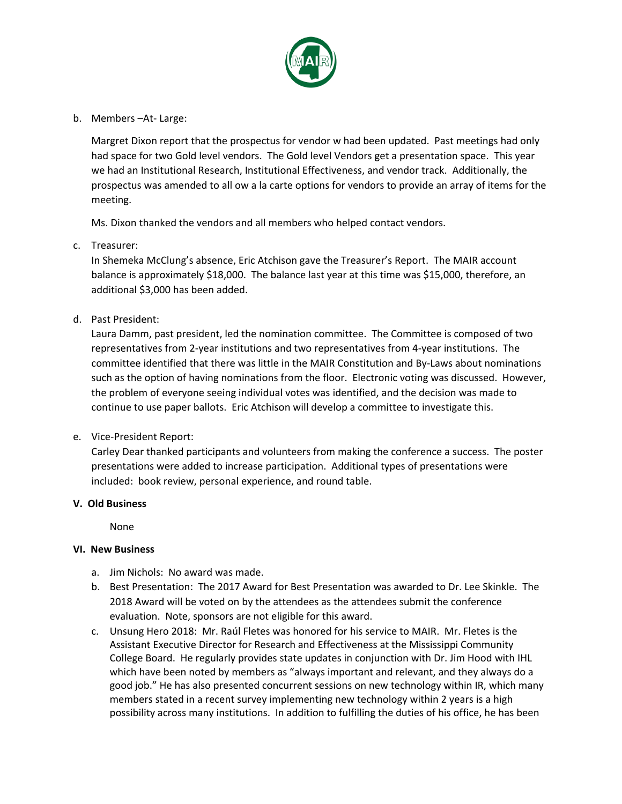

b. Members –At- Large:

Margret Dixon report that the prospectus for vendor w had been updated. Past meetings had only had space for two Gold level vendors. The Gold level Vendors get a presentation space. This year we had an Institutional Research, Institutional Effectiveness, and vendor track. Additionally, the prospectus was amended to all ow a la carte options for vendors to provide an array of items for the meeting.

Ms. Dixon thanked the vendors and all members who helped contact vendors.

c. Treasurer:

In Shemeka McClung's absence, Eric Atchison gave the Treasurer's Report. The MAIR account balance is approximately \$18,000. The balance last year at this time was \$15,000, therefore, an additional \$3,000 has been added.

d. Past President:

Laura Damm, past president, led the nomination committee. The Committee is composed of two representatives from 2-year institutions and two representatives from 4-year institutions. The committee identified that there was little in the MAIR Constitution and By-Laws about nominations such as the option of having nominations from the floor. Electronic voting was discussed. However, the problem of everyone seeing individual votes was identified, and the decision was made to continue to use paper ballots. Eric Atchison will develop a committee to investigate this.

e. Vice-President Report:

Carley Dear thanked participants and volunteers from making the conference a success. The poster presentations were added to increase participation. Additional types of presentations were included: book review, personal experience, and round table.

#### **V. Old Business**

None

#### **VI. New Business**

- a. Jim Nichols: No award was made.
- b. Best Presentation: The 2017 Award for Best Presentation was awarded to Dr. Lee Skinkle. The 2018 Award will be voted on by the attendees as the attendees submit the conference evaluation. Note, sponsors are not eligible for this award.
- c. Unsung Hero 2018: Mr. Raúl Fletes was honored for his service to MAIR. Mr. Fletes is the Assistant Executive Director for Research and Effectiveness at the Mississippi Community College Board. He regularly provides state updates in conjunction with Dr. Jim Hood with IHL which have been noted by members as "always important and relevant, and they always do a good job." He has also presented concurrent sessions on new technology within IR, which many members stated in a recent survey implementing new technology within 2 years is a high possibility across many institutions. In addition to fulfilling the duties of his office, he has been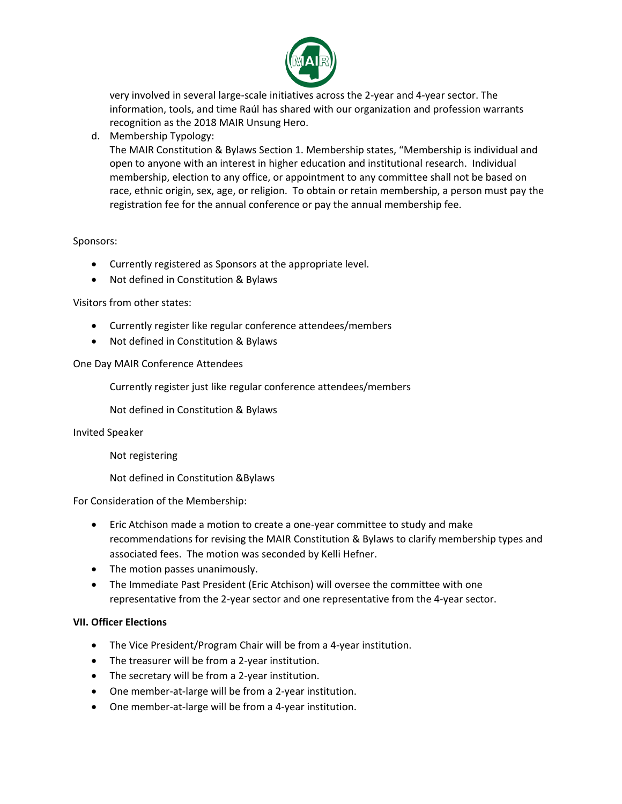

very involved in several large-scale initiatives across the 2-year and 4-year sector. The information, tools, and time Raúl has shared with our organization and profession warrants recognition as the 2018 MAIR Unsung Hero.

d. Membership Typology:

The MAIR Constitution & Bylaws Section 1. Membership states, "Membership is individual and open to anyone with an interest in higher education and institutional research. Individual membership, election to any office, or appointment to any committee shall not be based on race, ethnic origin, sex, age, or religion. To obtain or retain membership, a person must pay the registration fee for the annual conference or pay the annual membership fee.

## Sponsors:

- Currently registered as Sponsors at the appropriate level.
- Not defined in Constitution & Bylaws

#### Visitors from other states:

- Currently register like regular conference attendees/members
- Not defined in Constitution & Bylaws

#### One Day MAIR Conference Attendees

Currently register just like regular conference attendees/members

Not defined in Constitution & Bylaws

Invited Speaker

- Not registering
- Not defined in Constitution &Bylaws

For Consideration of the Membership:

- Eric Atchison made a motion to create a one-year committee to study and make recommendations for revising the MAIR Constitution & Bylaws to clarify membership types and associated fees. The motion was seconded by Kelli Hefner.
- The motion passes unanimously.
- The Immediate Past President (Eric Atchison) will oversee the committee with one representative from the 2-year sector and one representative from the 4-year sector.

#### **VII. Officer Elections**

- The Vice President/Program Chair will be from a 4-year institution.
- The treasurer will be from a 2-year institution.
- The secretary will be from a 2-year institution.
- One member-at-large will be from a 2-year institution.
- One member-at-large will be from a 4-year institution.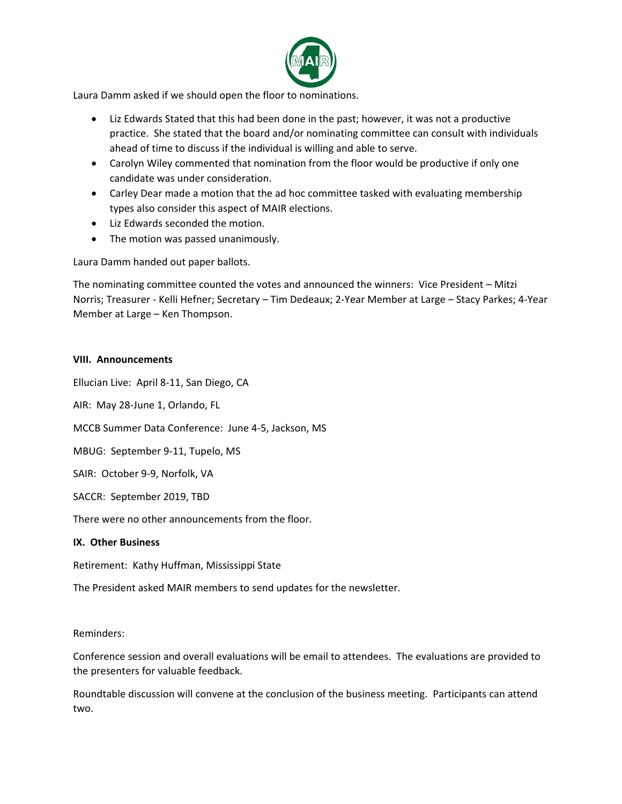

Laura Damm asked if we should open the floor to nominations.

- Liz Edwards Stated that this had been done in the past; however, it was not a productive practice. She stated that the board and/or nominating committee can consult with individuals ahead of time to discuss if the individual is willing and able to serve.
- Carolyn Wiley commented that nomination from the floor would be productive if only one candidate was under consideration.
- Carley Dear made a motion that the ad hoc committee tasked with evaluating membership types also consider this aspect of MAIR elections.
- Liz Edwards seconded the motion.
- The motion was passed unanimously.

Laura Damm handed out paper ballots.

The nominating committee counted the votes and announced the winners: Vice President – Mitzi Norris; Treasurer - Kelli Hefner; Secretary – Tim Dedeaux; 2-Year Member at Large – Stacy Parkes; 4-Year Member at Large – Ken Thompson.

## **VIII. Announcements**

Ellucian Live: April 8-11, San Diego, CA

AIR: May 28-June 1, Orlando, FL

MCCB Summer Data Conference: June 4-5, Jackson, MS

MBUG: September 9-11, Tupelo, MS

SAIR: October 9-9, Norfolk, VA

SACCR: September 2019, TBD

There were no other announcements from the floor.

## **IX. Other Business**

Retirement: Kathy Huffman, Mississippi State

The President asked MAIR members to send updates for the newsletter.

## Reminders:

Conference session and overall evaluations will be email to attendees. The evaluations are provided to the presenters for valuable feedback.

Roundtable discussion will convene at the conclusion of the business meeting. Participants can attend two.